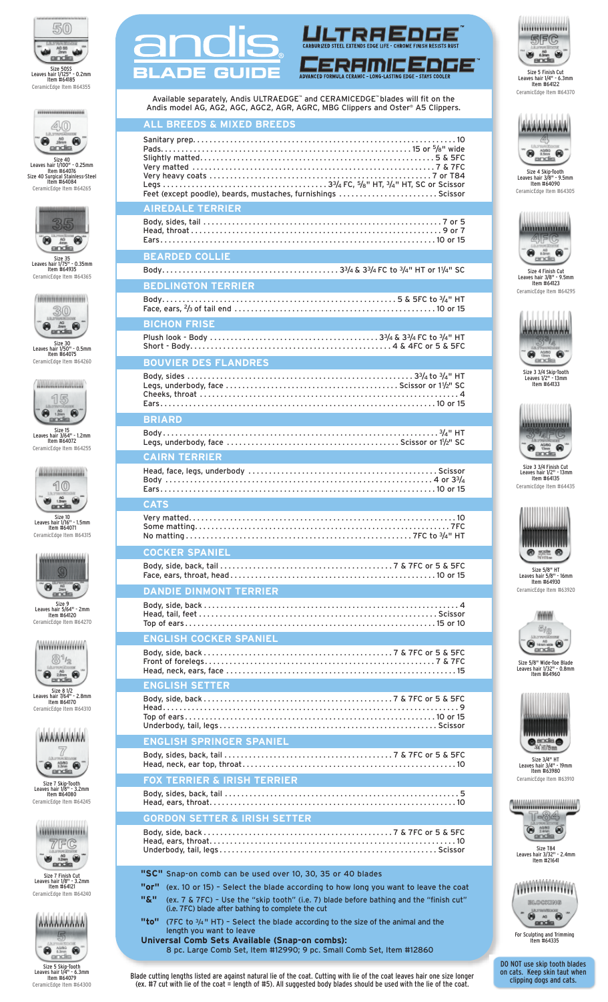

ano



Size 40<br>
Leaves hair 1/100" - 0.25mm<br>
Item #64076<br>
Size 40 Surgical Stainless-Steel<br>
Item #64084 CeramicEdge Item #64265



Size 35<br>Leaves hair 1/75" - 0.35mm<br>Item #64935 CeramicEdge Item #64365



Size 30<br>Leaves hair 1/50" - 0.5mm<br>Item #64075 CeramicEdge Item #64260



Size 15<br>Leaves hair 3/64" - 1.2mm<br>Item #64072<br>CeramicEdge Item #64255



Size 10<br>Leaves hair 1/16" - 1.5mm<br>Item #64071 CeramicEdge Item #64315



Size 9<br>Leaves hair 5/64" - 2mm<br>Item #64120 CeramicEdge Item #64270



Size 8 1/2<br>Leaves hair 7/64" - 2.8mm<br>Item #64170 CeramicEdge Item #64310



Size 7 Skip-Tooth<br>Leaves hair 1/8" - 3.2mm<br>Item #64080<br>CeramicEdge Item #64245



Size 7 Finish Cut<br>Leaves hair 1/8" - 3.2mm<br>Item #64121 CeramicEdge Item #64240



Size 5 Skip-Tooth<br>Leaves hair 1/4" - 6.3mm<br>Item #64079<br>CeramicEdge Item #64300

| <b>BLADE GUIDE</b><br>ORMULA CERAMIC - LONG-LASTING EDGE - STAYS COOLER                                                                                                                                                                                                                                                                                                                                                                                                                                                         |
|---------------------------------------------------------------------------------------------------------------------------------------------------------------------------------------------------------------------------------------------------------------------------------------------------------------------------------------------------------------------------------------------------------------------------------------------------------------------------------------------------------------------------------|
| Available separately, Andis ULTRAEDGE™ and CERAMICEDGE™ blades will fit on the<br>Andis model AG, AG2, AGC, AGC2, AGR, AGRC, MBG Clippers and Oster® A5 Clippers.                                                                                                                                                                                                                                                                                                                                                               |
| <b>ALL BREEDS &amp; MIXED BREEDS</b><br>Feet (except poodle), beards, mustaches, furnishings  Scissor                                                                                                                                                                                                                                                                                                                                                                                                                           |
| <b>AIREDALE TERRIER</b>                                                                                                                                                                                                                                                                                                                                                                                                                                                                                                         |
|                                                                                                                                                                                                                                                                                                                                                                                                                                                                                                                                 |
| <b>BEARDED COLLIE Example 20</b>                                                                                                                                                                                                                                                                                                                                                                                                                                                                                                |
| <b>BEDLINGTON TERRIER AND RESIDENCE</b>                                                                                                                                                                                                                                                                                                                                                                                                                                                                                         |
|                                                                                                                                                                                                                                                                                                                                                                                                                                                                                                                                 |
| <b>BICHON FRISE</b>                                                                                                                                                                                                                                                                                                                                                                                                                                                                                                             |
| <b>BOUVIER DES FLANDRES</b>                                                                                                                                                                                                                                                                                                                                                                                                                                                                                                     |
|                                                                                                                                                                                                                                                                                                                                                                                                                                                                                                                                 |
| <b>BRIARD</b>                                                                                                                                                                                                                                                                                                                                                                                                                                                                                                                   |
|                                                                                                                                                                                                                                                                                                                                                                                                                                                                                                                                 |
| <b>CAIRN TERRIER</b>                                                                                                                                                                                                                                                                                                                                                                                                                                                                                                            |
|                                                                                                                                                                                                                                                                                                                                                                                                                                                                                                                                 |
| <b>CATS</b>                                                                                                                                                                                                                                                                                                                                                                                                                                                                                                                     |
|                                                                                                                                                                                                                                                                                                                                                                                                                                                                                                                                 |
| <b>COCKER SPANIEL</b>                                                                                                                                                                                                                                                                                                                                                                                                                                                                                                           |
|                                                                                                                                                                                                                                                                                                                                                                                                                                                                                                                                 |
| <b>DANDIE DINMONT TERRIER</b>                                                                                                                                                                                                                                                                                                                                                                                                                                                                                                   |
|                                                                                                                                                                                                                                                                                                                                                                                                                                                                                                                                 |
| <b>ENGLISH COCKER SPANIEL</b>                                                                                                                                                                                                                                                                                                                                                                                                                                                                                                   |
|                                                                                                                                                                                                                                                                                                                                                                                                                                                                                                                                 |
| <b>ENGLISH SETTER</b>                                                                                                                                                                                                                                                                                                                                                                                                                                                                                                           |
|                                                                                                                                                                                                                                                                                                                                                                                                                                                                                                                                 |
| <b>ENGLISH SPRINGER SPANIEL</b>                                                                                                                                                                                                                                                                                                                                                                                                                                                                                                 |
|                                                                                                                                                                                                                                                                                                                                                                                                                                                                                                                                 |
| <b>FOX TERRIER &amp; IRISH TERRIER THE</b>                                                                                                                                                                                                                                                                                                                                                                                                                                                                                      |
|                                                                                                                                                                                                                                                                                                                                                                                                                                                                                                                                 |
| <b>GORDON SETTER &amp; IRISH SETTER</b>                                                                                                                                                                                                                                                                                                                                                                                                                                                                                         |
| "SC" Snap-on comb can be used over 10, 30, 35 or 40 blades<br>"or"<br>(ex. 10 or 15) - Select the blade according to how long you want to leave the coat<br><b>"&amp;"</b><br>(ex. 7 & 7FC) - Use the "skip tooth" (i.e. 7) blade before bathing and the "finish cut"<br>(i.e. 7FC) blade after bathing to complete the cut<br>"to"<br>(7FC to $3/4$ " HT) - Select the blade according to the size of the animal and the<br>length you want to leave<br>$\mathbf{A}$ and $\mathbf{A}$ are the first production of $\mathbf{A}$ |

<u>C ULTREEDEE</u>

**Universal Comb Sets Available (Snap-on combs):** 8 pc. Large Comb Set, Item #12990; 9 pc. Small Comb Set, Item #12860 For Sculpting and Trimming<br>Item #64335

DO NOT use skip tooth blades on cats. Keep skin taut when clipping dogs and cats.

Blade cutting lengths listed are against natural lie of the coat. Cutting with lie of the coat leaves hair one size longer (ex. #7 cut with lie of the coat = length of #5). All suggested body blades should be used with the lie of the coat.



Size 5 Finish Cut<br>Leaves hair 1/4" - 6.3mm<br>Item #64122 CeramicEdge Item #64370



Size 4 Skip-Tooth Leaves hair 3/8" - 9.5mm Item #64090 CeramicEdge Item #64305



Size 4 Finish Cut Leaves hair 3/8" - 9.5mm Item #64123 CeramicEdge Item #64295



Size 3 3/4 Skip-Tooth Leaves 1/2" - 13mm Item #64133



Size 3 3/4 Finish Cut Leaves hair 1/2" - 13mm Item #64135 CeramicEdge Item #64435



Size 5/8" HT Leaves hair 5/8" - 16mm Item #64930 CeramicEdge Item #63920

**WHIM**  $z_{\rm 0}$  $\underbrace{\overset{\scriptscriptstyle i}{\bigcirc}}_{\text{andis}}\overset{\scriptscriptstyle m}{\bigcirc}$ 

Size 5/8" Wide-Toe Blade<br>Leaves hair 1/32" - 0.8mm<br>Item #64960



Size 3/4" HT Leaves hair 3/4" - 19mm Item #63980 CeramicEdge Item #63910

(www.www.www.c T-84  $\bigcirc$   $\frac{723}{121}$ 

Size T84<br>Leaves hair 3/32" - 2.4mm<br>Item #21641